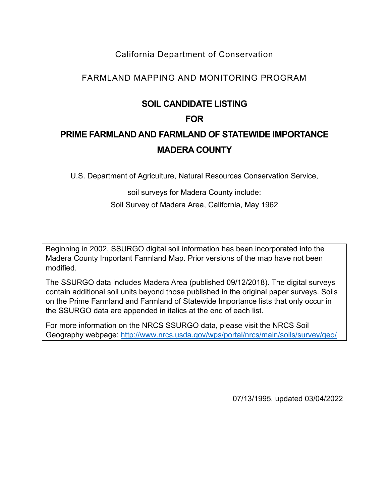## California Department of Conservation

## FARMLAND MAPPING AND MONITORING PROGRAM

## **SOIL CANDIDATE LISTING**

## **FOR**

# **PRIME FARMLAND AND FARMLAND OF STATEWIDE IMPORTANCE MADERA COUNTY**

U.S. Department of Agriculture, Natural Resources Conservation Service,

soil surveys for Madera County include:

Soil Survey of Madera Area, California, May 1962

Beginning in 2002, SSURGO digital soil information has been incorporated into the Madera County Important Farmland Map. Prior versions of the map have not been modified.

The SSURGO data includes Madera Area (published 09/12/2018). The digital surveys contain additional soil units beyond those published in the original paper surveys. Soils on the Prime Farmland and Farmland of Statewide Importance lists that only occur in the SSURGO data are appended in italics at the end of each list.

For more information on the NRCS SSURGO data, please visit the NRCS Soil Geography webpage:<http://www.nrcs.usda.gov/wps/portal/nrcs/main/soils/survey/geo/>

07/13/1995, updated 03/04/2022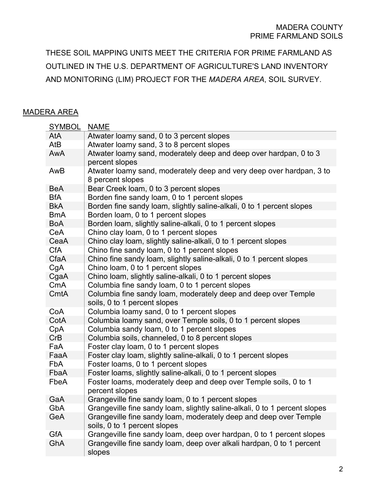#### MADERA COUNTY PRIME FARMLAND SOILS

THESE SOIL MAPPING UNITS MEET THE CRITERIA FOR PRIME FARMLAND AS OUTLINED IN THE U.S. DEPARTMENT OF AGRICULTURE'S LAND INVENTORY AND MONITORING (LIM) PROJECT FOR THE *MADERA AREA*, SOIL SURVEY.

### MADERA AREA

| <b>SYMBOL</b> | <b>NAME</b>                                                                                       |
|---------------|---------------------------------------------------------------------------------------------------|
| AtA           | Atwater loamy sand, 0 to 3 percent slopes                                                         |
| AtB           | Atwater loamy sand, 3 to 8 percent slopes                                                         |
| AwA           | Atwater loamy sand, moderately deep and deep over hardpan, 0 to 3<br>percent slopes               |
| AwB           | Atwater loamy sand, moderately deep and very deep over hardpan, 3 to<br>8 percent slopes          |
| <b>BeA</b>    | Bear Creek loam, 0 to 3 percent slopes                                                            |
| <b>BfA</b>    | Borden fine sandy loam, 0 to 1 percent slopes                                                     |
| <b>BkA</b>    | Borden fine sandy loam, slightly saline-alkali, 0 to 1 percent slopes                             |
| <b>BmA</b>    | Borden loam, 0 to 1 percent slopes                                                                |
| <b>BoA</b>    | Borden loam, slightly saline-alkali, 0 to 1 percent slopes                                        |
| CeA           | Chino clay loam, 0 to 1 percent slopes                                                            |
| CeaA          | Chino clay loam, slightly saline-alkali, 0 to 1 percent slopes                                    |
| <b>CfA</b>    | Chino fine sandy loam, 0 to 1 percent slopes                                                      |
| CfaA          | Chino fine sandy loam, slightly saline-alkali, 0 to 1 percent slopes                              |
| CgA           | Chino loam, 0 to 1 percent slopes                                                                 |
| CgaA          | Chino loam, slightly saline-alkali, 0 to 1 percent slopes                                         |
| CmA           | Columbia fine sandy loam, 0 to 1 percent slopes                                                   |
| CmtA          | Columbia fine sandy loam, moderately deep and deep over Temple<br>soils, 0 to 1 percent slopes    |
| CoA           | Columbia loamy sand, 0 to 1 percent slopes                                                        |
| CotA          | Columbia loamy sand, over Temple soils, 0 to 1 percent slopes                                     |
| CpA           | Columbia sandy loam, 0 to 1 percent slopes                                                        |
| CrB           | Columbia soils, channeled, 0 to 8 percent slopes                                                  |
| FaA           | Foster clay loam, 0 to 1 percent slopes                                                           |
| FaaA          | Foster clay loam, slightly saline-alkali, 0 to 1 percent slopes                                   |
| <b>FbA</b>    | Foster loams, 0 to 1 percent slopes                                                               |
| FbaA          | Foster loams, slightly saline-alkali, 0 to 1 percent slopes                                       |
| FbeA          | Foster loams, moderately deep and deep over Temple soils, 0 to 1<br>percent slopes                |
| GaA           | Grangeville fine sandy loam, 0 to 1 percent slopes                                                |
| GbA           | Grangeville fine sandy loam, slightly saline-alkali, 0 to 1 percent slopes                        |
| GeA           | Grangeville fine sandy loam, moderately deep and deep over Temple<br>soils, 0 to 1 percent slopes |
| GfA           | Grangeville fine sandy loam, deep over hardpan, 0 to 1 percent slopes                             |
| GhA           | Grangeville fine sandy loam, deep over alkali hardpan, 0 to 1 percent<br>slopes                   |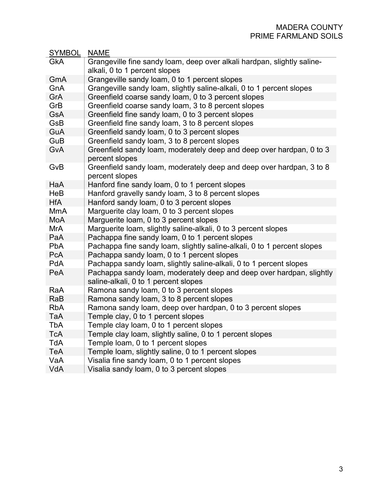| <b>SYMBOL</b> | <b>NAME</b>                                                                            |
|---------------|----------------------------------------------------------------------------------------|
| <b>GkA</b>    | Grangeville fine sandy loam, deep over alkali hardpan, slightly saline-                |
|               | alkali, 0 to 1 percent slopes                                                          |
| GmA           | Grangeville sandy loam, 0 to 1 percent slopes                                          |
| GnA           | Grangeville sandy loam, slightly saline-alkali, 0 to 1 percent slopes                  |
| GrA           | Greenfield coarse sandy loam, 0 to 3 percent slopes                                    |
| GrB           | Greenfield coarse sandy loam, 3 to 8 percent slopes                                    |
| <b>GsA</b>    | Greenfield fine sandy loam, 0 to 3 percent slopes                                      |
| GsB           | Greenfield fine sandy loam, 3 to 8 percent slopes                                      |
| GuA           | Greenfield sandy loam, 0 to 3 percent slopes                                           |
| GuB           | Greenfield sandy loam, 3 to 8 percent slopes                                           |
| <b>GvA</b>    | Greenfield sandy loam, moderately deep and deep over hardpan, 0 to 3                   |
|               | percent slopes                                                                         |
| GvB           | Greenfield sandy loam, moderately deep and deep over hardpan, 3 to 8<br>percent slopes |
| HaA           | Hanford fine sandy loam, 0 to 1 percent slopes                                         |
| HeB           | Hanford gravelly sandy loam, 3 to 8 percent slopes                                     |
| <b>HfA</b>    | Hanford sandy loam, 0 to 3 percent slopes                                              |
| <b>MmA</b>    | Marguerite clay loam, 0 to 3 percent slopes                                            |
| MoA           | Marguerite loam, 0 to 3 percent slopes                                                 |
| MrA           | Marguerite loam, slightly saline-alkali, 0 to 3 percent slopes                         |
| PaA           | Pachappa fine sandy loam, 0 to 1 percent slopes                                        |
| <b>PbA</b>    | Pachappa fine sandy loam, slightly saline-alkali, 0 to 1 percent slopes                |
| <b>PcA</b>    | Pachappa sandy loam, 0 to 1 percent slopes                                             |
| <b>PdA</b>    | Pachappa sandy loam, slightly saline-alkali, 0 to 1 percent slopes                     |
| PeA           | Pachappa sandy loam, moderately deep and deep over hardpan, slightly                   |
|               | saline-alkali, 0 to 1 percent slopes                                                   |
| RaA           | Ramona sandy loam, 0 to 3 percent slopes                                               |
| RaB           | Ramona sandy loam, 3 to 8 percent slopes                                               |
| <b>RbA</b>    | Ramona sandy loam, deep over hardpan, 0 to 3 percent slopes                            |
| TaA           | Temple clay, 0 to 1 percent slopes                                                     |
| TbA           | Temple clay loam, 0 to 1 percent slopes                                                |
| <b>TcA</b>    | Temple clay loam, slightly saline, 0 to 1 percent slopes                               |
| <b>TdA</b>    | Temple loam, 0 to 1 percent slopes                                                     |
| TeA           | Temple loam, slightly saline, 0 to 1 percent slopes                                    |
| VaA           | Visalia fine sandy loam, 0 to 1 percent slopes                                         |
| VdA           | Visalia sandy loam, 0 to 3 percent slopes                                              |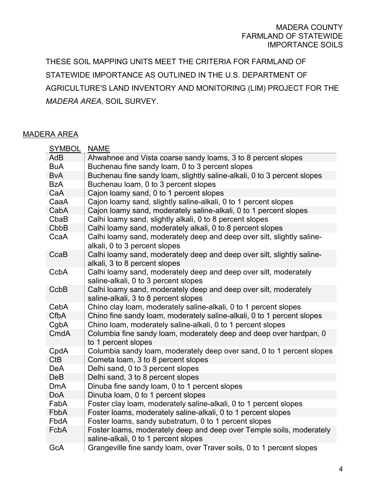### MADERA COUNTY FARMLAND OF STATEWIDE IMPORTANCE SOILS

THESE SOIL MAPPING UNITS MEET THE CRITERIA FOR FARMLAND OF STATEWIDE IMPORTANCE AS OUTLINED IN THE U.S. DEPARTMENT OF AGRICULTURE'S LAND INVENTORY AND MONITORING (LIM) PROJECT FOR THE *MADERA AREA*, SOIL SURVEY.

### MADERA AREA

| <b>SYMBOL</b> | <b>NAME</b>                                                                                                  |
|---------------|--------------------------------------------------------------------------------------------------------------|
| <b>AdB</b>    | Ahwahnee and Vista coarse sandy loams, 3 to 8 percent slopes                                                 |
| <b>BuA</b>    | Buchenau fine sandy loam, 0 to 3 percent slopes                                                              |
| <b>B</b> vA   | Buchenau fine sandy loam, slightly saline-alkali, 0 to 3 percent slopes                                      |
| <b>BzA</b>    | Buchenau loam, 0 to 3 percent slopes                                                                         |
| CaA           | Cajon loamy sand, 0 to 1 percent slopes                                                                      |
| CaaA          | Cajon loamy sand, slightly saline-alkali, 0 to 1 percent slopes                                              |
| CabA          | Cajon loamy sand, moderately saline-alkali, 0 to 1 percent slopes                                            |
| CbaB          | Calhi loamy sand, slightly alkali, 0 to 8 percent slopes                                                     |
| CbbB          | Calhi loamy sand, moderately alkali, 0 to 8 percent slopes                                                   |
| CcaA          | Calhi loamy sand, moderately deep and deep over silt, slightly saline-<br>alkali, 0 to 3 percent slopes      |
| CcaB          | Calhi loamy sand, moderately deep and deep over silt, slightly saline-<br>alkali, 3 to 8 percent slopes      |
| CcbA          | Calhi loamy sand, moderately deep and deep over silt, moderately<br>saline-alkali, 0 to 3 percent slopes     |
| CcbB          | Calhi loamy sand, moderately deep and deep over silt, moderately<br>saline-alkali, 3 to 8 percent slopes     |
| CebA          | Chino clay loam, moderately saline-alkali, 0 to 1 percent slopes                                             |
| <b>CfbA</b>   | Chino fine sandy loam, moderately saline-alkali, 0 to 1 percent slopes                                       |
| CgbA          | Chino loam, moderately saline-alkali, 0 to 1 percent slopes                                                  |
| CmdA          | Columbia fine sandy loam, moderately deep and deep over hardpan, 0<br>to 1 percent slopes                    |
| CpdA          | Columbia sandy loam, moderately deep over sand, 0 to 1 percent slopes                                        |
| <b>CtB</b>    | Cometa loam, 3 to 8 percent slopes                                                                           |
| <b>DeA</b>    | Delhi sand, 0 to 3 percent slopes                                                                            |
| <b>DeB</b>    | Delhi sand, 3 to 8 percent slopes                                                                            |
| <b>DmA</b>    | Dinuba fine sandy loam, 0 to 1 percent slopes                                                                |
| <b>DoA</b>    | Dinuba loam, 0 to 1 percent slopes                                                                           |
| FabA          | Foster clay loam, moderately saline-alkali, 0 to 1 percent slopes                                            |
| FbbA          | Foster loams, moderately saline-alkali, 0 to 1 percent slopes                                                |
| FbdA          | Foster loams, sandy substratum, 0 to 1 percent slopes                                                        |
| FcbA          | Foster loams, moderately deep and deep over Temple soils, moderately<br>saline-alkali, 0 to 1 percent slopes |
| GcA           | Grangeville fine sandy loam, over Traver soils, 0 to 1 percent slopes                                        |